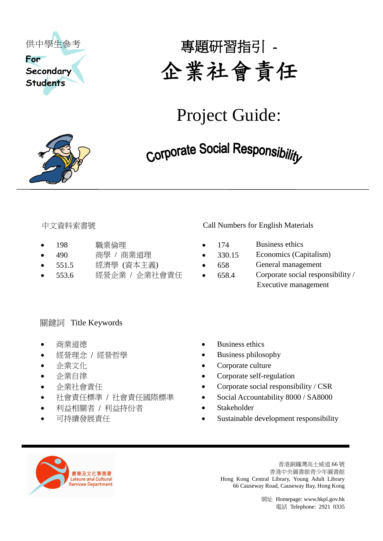



# Project Guide:

- 
- 
- 
- 

#### 中文資料索書號 Call Numbers for English Materials

- 198 職業倫理 174 Business ethics
- 490 商學 / 商業道理 330.15 Economics (Capitalism)
- 551.5 經濟學 (資本主義) 658 General management
- 553.6 經營企業 / 企業社會責任 658.4 Corporate social responsibility / Executive management

### 關鍵詞 Title Keywords

- 
- 
- 
- 
- 
- 
- 利益相關者 / 利益持份者 Stakeholder
- 
- 商業道德 **Business** ethics
- 經營理念 / 經營哲學 → Business philosophy
- 企業文化 ● Corporate culture
- 企業自律 Corporate self-regulation
- 企業社會責任 Corporate social responsibility / CSR
	- 社會責任標準 / 社會責任國際標準 Social Accountability 8000 / SA8000
		-
	- 可持續發展責任 Sustainable development responsibility



香港銅鑼灣高士威道 66 號 香港中央圖書館青少年圖書館 Hong Kong Central Library, Young Adult Library 66 Causeway Road, Causeway Bay, Hong Kong

網址 Homepage: www.hkpl.gov.hk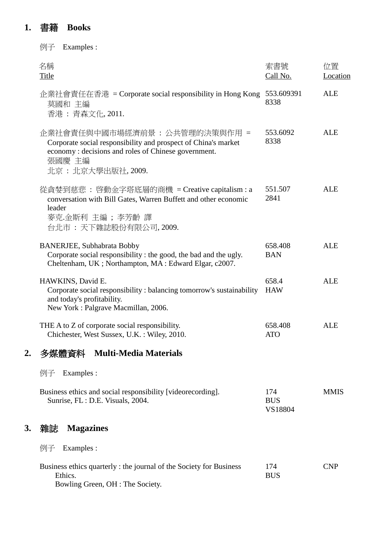## **1.** 書籍 **Books**

|    | 例子<br>Examples :                                                                                                                                                                         |                              |                |
|----|------------------------------------------------------------------------------------------------------------------------------------------------------------------------------------------|------------------------------|----------------|
|    | 名稱<br><b>Title</b>                                                                                                                                                                       | 索書號<br>Call No.              | 位置<br>Location |
|    | 企業社會責任在香港 = Corporate social responsibility in Hong Kong<br>莫國和 主編<br>香港: 青森文化, 2011.                                                                                                    | 553.609391<br>8338           | <b>ALE</b>     |
|    | 企業社會責任與中國市場經濟前景 : 公共管理的決策與作用 =<br>Corporate social responsibility and prospect of China's market<br>economy: decisions and roles of Chinese government.<br>張國慶 主編<br>北京 : 北京大學出版社, 2009. | 553.6092<br>8338             | <b>ALE</b>     |
|    | 從貪婪到慈悲: 啓動金字塔底層的商機 = Creative capitalism : a<br>conversation with Bill Gates, Warren Buffett and other economic<br>leader<br>麥克.金斯利 主編 ; 李芳齡 譯<br>台北市:天下雜誌股份有限公司, 2009.                  | 551.507<br>2841              | <b>ALE</b>     |
|    | <b>BANERJEE, Subhabrata Bobby</b><br>Corporate social responsibility : the good, the bad and the ugly.<br>Cheltenham, UK; Northampton, MA: Edward Elgar, c2007.                          | 658.408<br><b>BAN</b>        | <b>ALE</b>     |
|    | HAWKINS, David E.<br>Corporate social responsibility: balancing tomorrow's sustainability<br>and today's profitability.<br>New York: Palgrave Macmillan, 2006.                           | 658.4<br><b>HAW</b>          | <b>ALE</b>     |
|    | THE A to Z of corporate social responsibility.<br>Chichester, West Sussex, U.K.: Wiley, 2010.                                                                                            | 658.408<br><b>ATO</b>        | <b>ALE</b>     |
| 2. | 多媒體資料<br><b>Multi-Media Materials</b>                                                                                                                                                    |                              |                |
|    | 例子<br>Examples :                                                                                                                                                                         |                              |                |
|    | Business ethics and social responsibility [videorecording].<br>Sunrise, FL : D.E. Visuals, 2004.                                                                                         | 174<br><b>BUS</b><br>VS18804 | <b>MMIS</b>    |
| 3. | 雜誌<br><b>Magazines</b>                                                                                                                                                                   |                              |                |
|    | Examples :<br>例子                                                                                                                                                                         |                              |                |
|    | Business ethics quarterly : the journal of the Society for Business<br>Ethics.<br>Bowling Green, OH : The Society.                                                                       | 174<br><b>BUS</b>            | <b>CNP</b>     |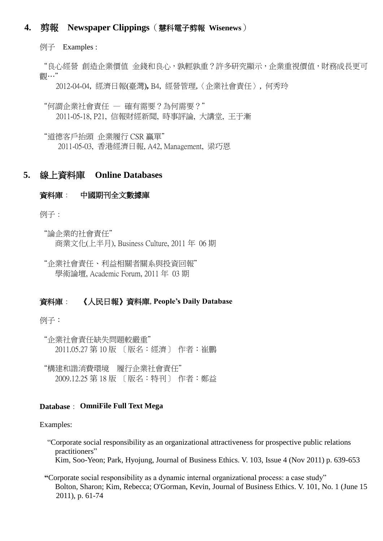#### **4.** 剪報 **Newspaper Clippings**(慧科電子剪報 **Wisenews**)

例子 Examples :

"良心經營 創造企業價值 金錢和良心,孰輕孰重?許多研究顯示,企業重視價值,財務成長更可 觀…"

2012-04-04, 經濟日報(臺灣)**,** B4, 經營管理,〈企業社會責任〉, 何秀玲

"何謂企業社會責任 — 確有需要?為何需要?" 2011-05-18, P21, 信報財經新聞, 時事評論, 大講堂, 王于漸

"道德客戶抬頭 企業履行 CSR 贏單" 2011-05-03, 香港經濟日報, A42, Management, 梁巧恩

#### **5.** 線上資料庫 **Online Databases**

#### 資料庫: 中國期刊全文數據庫

例子:

"論企業的社會責任" 商業文化(上半月), Business Culture, 2011 年 06 期

"企業社會責任、利益相關者關系與投資回報" 學術論壇, Academic Forum, 2011 年 03 期

#### 資料庫: 《人民日報》資料庫, **People's Daily Database**

例子:

"企業社會責任缺失問題較嚴重" 2011.05.27 第 10 版 〔版名:經濟〕 作者:崔鵬

"構建和諧消費環境 履行企業社會責任" 2009.12.25 第 18 版 〔版名:特刊〕 作者:鄭益

#### **Database**: **OmniFile Full Text Mega**

#### Examples:

- "Corporate social responsibility as an organizational attractiveness for prospective public relations practitioners" Kim, Soo-Yeon; Park, Hyojung, Journal of Business Ethics. V. 103, Issue 4 (Nov 2011) p. 639-653
- **"**Corporate social responsibility as a dynamic internal organizational process: a case study" Bolton, Sharon; Kim, Rebecca; O'Gorman, Kevin, Journal of Business Ethics. V. 101, No. 1 (June 15 2011), p. 61-74